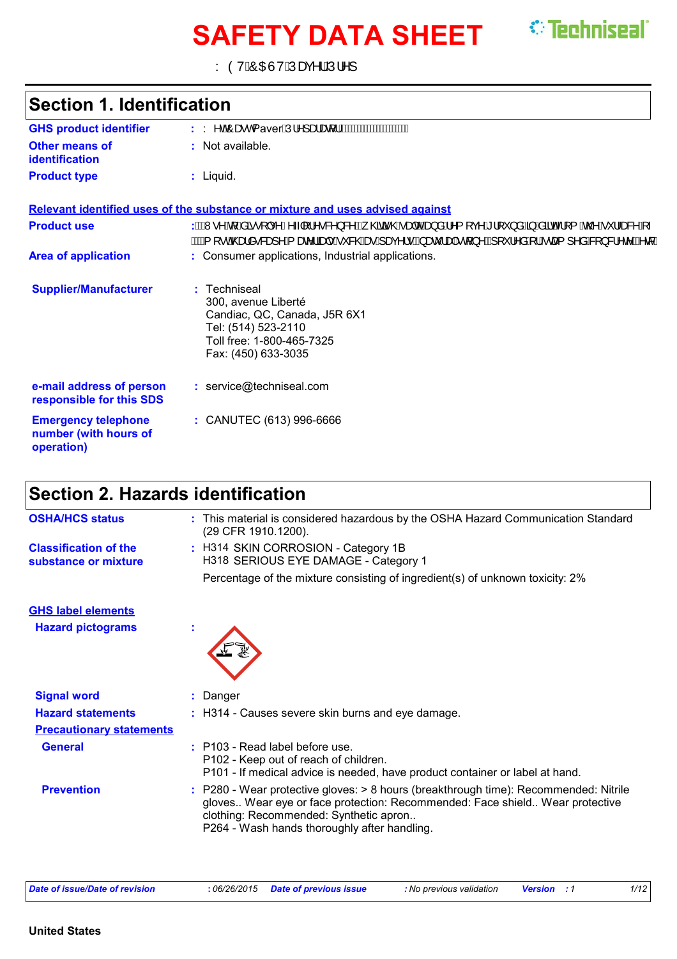# **SAFETY DATA SHEET** *C* Techniseal

Y ÒVÁÔŒÙVÁÚæç^¦ÁÚ¦^]

| <b>Section 1. Identification</b>                                  |                                                                                                                                                                                     |
|-------------------------------------------------------------------|-------------------------------------------------------------------------------------------------------------------------------------------------------------------------------------|
| <b>GHS product identifier</b>                                     | : Y^o <sup>4</sup> ÔæcPaverÁJ¦^]ælæt¦ <i>Á</i> WWWWWWWWW                                                                                                                            |
| Other means of<br><b>identification</b>                           | : Not available.                                                                                                                                                                    |
| <b>Product type</b>                                               | $:$ Liquid.                                                                                                                                                                         |
|                                                                   | Relevant identified uses of the substance or mixture and uses advised against                                                                                                       |
| <b>Product use</b>                                                | : AAAN ^ Aq[Asã • [ ç^Á^~ [¦^•&^}&^ÁÇ; @ãã @ÁaqdObe)åÁ^{[ç^Á`![`}åË}}AsãdÁ¦[{Á@^Á`¦~æ&^Á~<br><u>ÁWA</u> [•oÁ@edå•&æ]^Á{æ^¦ãæ]•Á*&@Áæ∙Áæç^¦•BÁæč¦æ){^BÁ{`^¦^åÁ¦Áœa{ ^åÁ& }&¦^c^BÁœ&È |
| <b>Area of application</b>                                        | : Consumer applications, Industrial applications.                                                                                                                                   |
| <b>Supplier/Manufacturer</b>                                      | : Techniseal<br>300, avenue Liberté<br>Candiac, QC, Canada, J5R 6X1<br>Tel: (514) 523-2110<br>Toll free: 1-800-465-7325<br>Fax: (450) 633-3035                                      |
| e-mail address of person<br>responsible for this SDS              | : service@techniseal.com                                                                                                                                                            |
| <b>Emergency telephone</b><br>number (with hours of<br>operation) | : CANUTEC (613) 996-6666                                                                                                                                                            |

# **Section 2. Hazards identification**

| <b>OSHA/HCS status</b>                               | : This material is considered hazardous by the OSHA Hazard Communication Standard<br>(29 CFR 1910.1200).                                                                                                                                                       |
|------------------------------------------------------|----------------------------------------------------------------------------------------------------------------------------------------------------------------------------------------------------------------------------------------------------------------|
| <b>Classification of the</b><br>substance or mixture | : H314 SKIN CORROSION - Category 1B<br>H318 SERIOUS EYE DAMAGE - Category 1                                                                                                                                                                                    |
|                                                      | Percentage of the mixture consisting of ingredient(s) of unknown toxicity: 2%                                                                                                                                                                                  |
| <b>GHS label elements</b>                            |                                                                                                                                                                                                                                                                |
| <b>Hazard pictograms</b>                             |                                                                                                                                                                                                                                                                |
| <b>Signal word</b>                                   | : Danger                                                                                                                                                                                                                                                       |
| <b>Hazard statements</b>                             | : H314 - Causes severe skin burns and eye damage.                                                                                                                                                                                                              |
| <b>Precautionary statements</b>                      |                                                                                                                                                                                                                                                                |
| <b>General</b>                                       | $:$ P103 - Read label before use.<br>P102 - Keep out of reach of children.<br>P101 - If medical advice is needed, have product container or label at hand.                                                                                                     |
| <b>Prevention</b>                                    | : P280 - Wear protective gloves: > 8 hours (breakthrough time): Recommended: Nitrile<br>gloves Wear eye or face protection: Recommended: Face shield Wear protective<br>clothing: Recommended: Synthetic apron<br>P264 - Wash hands thoroughly after handling. |

| Date of issue/Date of revision | : 06/26/2015 Date of previous issue | : No previous validation | <b>Version</b> : 1 | 1/12 |
|--------------------------------|-------------------------------------|--------------------------|--------------------|------|
|--------------------------------|-------------------------------------|--------------------------|--------------------|------|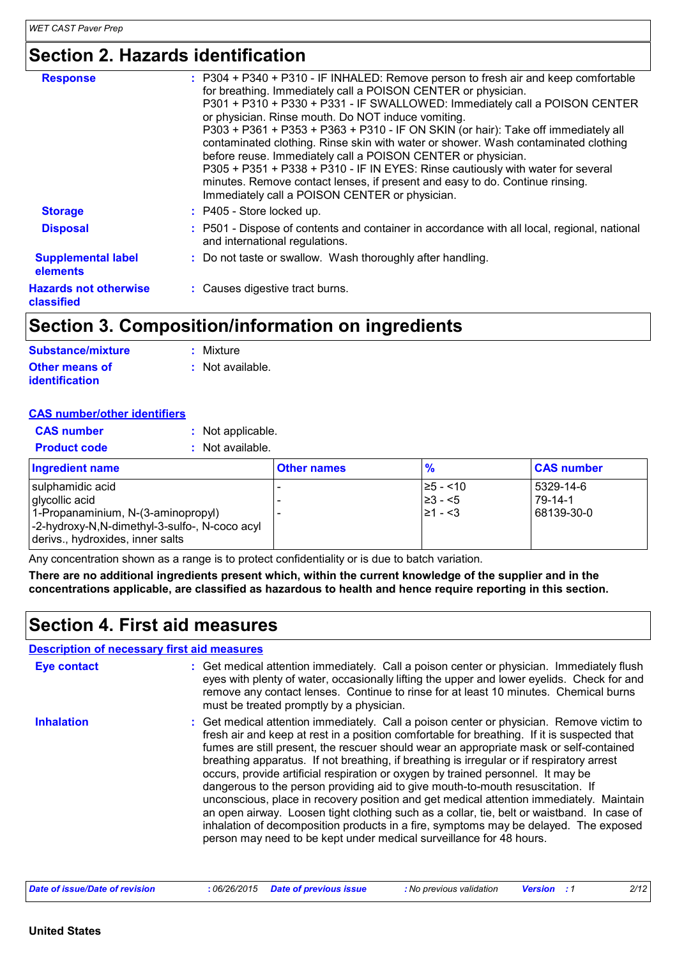# **Section 2. Hazards identification**

| <b>Response</b>                            | : P304 + P340 + P310 - IF INHALED: Remove person to fresh air and keep comfortable<br>for breathing. Immediately call a POISON CENTER or physician.<br>P301 + P310 + P330 + P331 - IF SWALLOWED: Immediately call a POISON CENTER<br>or physician. Rinse mouth. Do NOT induce vomiting.<br>P303 + P361 + P353 + P363 + P310 - IF ON SKIN (or hair): Take off immediately all<br>contaminated clothing. Rinse skin with water or shower. Wash contaminated clothing<br>before reuse. Immediately call a POISON CENTER or physician.<br>P305 + P351 + P338 + P310 - IF IN EYES: Rinse cautiously with water for several<br>minutes. Remove contact lenses, if present and easy to do. Continue rinsing.<br>Immediately call a POISON CENTER or physician. |
|--------------------------------------------|---------------------------------------------------------------------------------------------------------------------------------------------------------------------------------------------------------------------------------------------------------------------------------------------------------------------------------------------------------------------------------------------------------------------------------------------------------------------------------------------------------------------------------------------------------------------------------------------------------------------------------------------------------------------------------------------------------------------------------------------------------|
| <b>Storage</b>                             | $:$ P405 - Store locked up.                                                                                                                                                                                                                                                                                                                                                                                                                                                                                                                                                                                                                                                                                                                             |
| <b>Disposal</b>                            | : P501 - Dispose of contents and container in accordance with all local, regional, national<br>and international regulations.                                                                                                                                                                                                                                                                                                                                                                                                                                                                                                                                                                                                                           |
| <b>Supplemental label</b><br>elements      | : Do not taste or swallow. Wash thoroughly after handling.                                                                                                                                                                                                                                                                                                                                                                                                                                                                                                                                                                                                                                                                                              |
| <b>Hazards not otherwise</b><br>classified | : Causes digestive tract burns.                                                                                                                                                                                                                                                                                                                                                                                                                                                                                                                                                                                                                                                                                                                         |

## **Section 3. Composition/information on ingredients**

| Substance/mixture     | : Mixture        |
|-----------------------|------------------|
| <b>Other means of</b> | : Not available. |
| <b>identification</b> |                  |

#### **CAS number/other identifiers**

| <b>CAS number</b><br>: Not applicable.<br>: Not available.<br><b>Product code</b>                                                                             |                    |                                           |                                    |
|---------------------------------------------------------------------------------------------------------------------------------------------------------------|--------------------|-------------------------------------------|------------------------------------|
| <b>Ingredient name</b>                                                                                                                                        | <b>Other names</b> | $\frac{9}{6}$                             | <b>CAS number</b>                  |
| sulphamidic acid<br>glycollic acid<br>1-Propanaminium, N-(3-aminopropyl)<br>-2-hydroxy-N,N-dimethyl-3-sulfo-, N-coco acyl<br>derivs., hydroxides, inner salts |                    | 25 - <10<br>23 - <5∣<br>$\geq 1 - \leq 3$ | 5329-14-6<br>79-14-1<br>68139-30-0 |

Any concentration shown as a range is to protect confidentiality or is due to batch variation.

**There are no additional ingredients present which, within the current knowledge of the supplier and in the concentrations applicable, are classified as hazardous to health and hence require reporting in this section.**

### **Section 4. First aid measures**

#### **Description of necessary first aid measures**

| <b>Eye contact</b> | : Get medical attention immediately. Call a poison center or physician. Immediately flush<br>eyes with plenty of water, occasionally lifting the upper and lower eyelids. Check for and<br>remove any contact lenses. Continue to rinse for at least 10 minutes. Chemical burns<br>must be treated promptly by a physician.                                                                                                                                                                                                                                                                                                                                                                                                                                                                                                                                                                                  |
|--------------------|--------------------------------------------------------------------------------------------------------------------------------------------------------------------------------------------------------------------------------------------------------------------------------------------------------------------------------------------------------------------------------------------------------------------------------------------------------------------------------------------------------------------------------------------------------------------------------------------------------------------------------------------------------------------------------------------------------------------------------------------------------------------------------------------------------------------------------------------------------------------------------------------------------------|
| <b>Inhalation</b>  | : Get medical attention immediately. Call a poison center or physician. Remove victim to<br>fresh air and keep at rest in a position comfortable for breathing. If it is suspected that<br>fumes are still present, the rescuer should wear an appropriate mask or self-contained<br>breathing apparatus. If not breathing, if breathing is irregular or if respiratory arrest<br>occurs, provide artificial respiration or oxygen by trained personnel. It may be<br>dangerous to the person providing aid to give mouth-to-mouth resuscitation. If<br>unconscious, place in recovery position and get medical attention immediately. Maintain<br>an open airway. Loosen tight clothing such as a collar, tie, belt or waistband. In case of<br>inhalation of decomposition products in a fire, symptoms may be delayed. The exposed<br>person may need to be kept under medical surveillance for 48 hours. |

| Date of issue/Date of revision |  | : No previous validation | <b>Version</b> | 2/12 |  |
|--------------------------------|--|--------------------------|----------------|------|--|
|--------------------------------|--|--------------------------|----------------|------|--|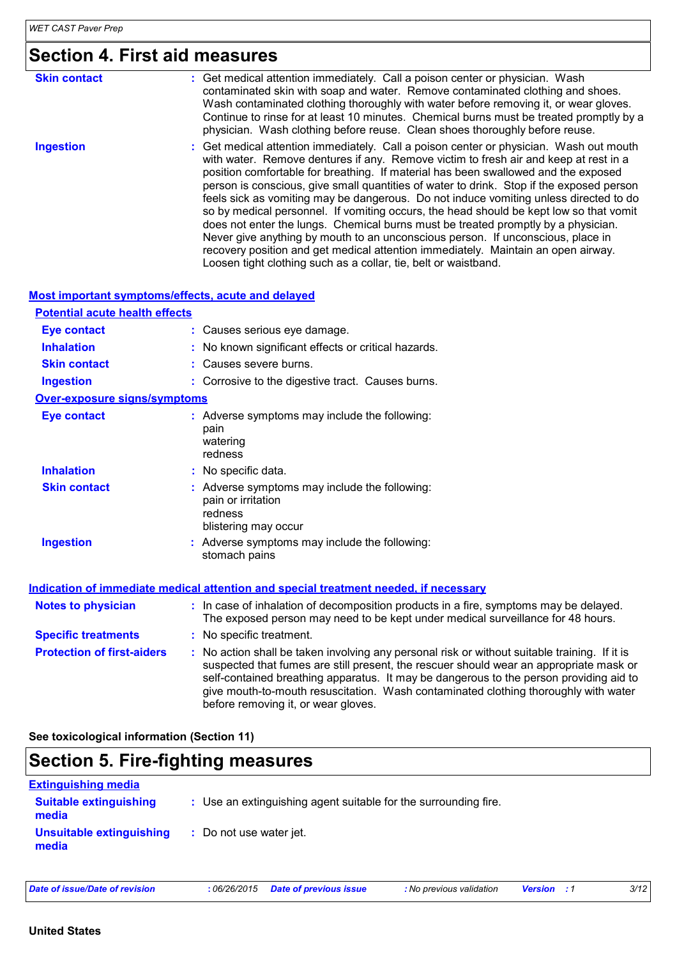# **Section 4. First aid measures**

| <b>Skin contact</b> | : Get medical attention immediately. Call a poison center or physician. Wash<br>contaminated skin with soap and water. Remove contaminated clothing and shoes.<br>Wash contaminated clothing thoroughly with water before removing it, or wear gloves.<br>Continue to rinse for at least 10 minutes. Chemical burns must be treated promptly by a<br>physician. Wash clothing before reuse. Clean shoes thoroughly before reuse.                                                                                                                                                                                                                                                                                                                                                                                                                                                    |
|---------------------|-------------------------------------------------------------------------------------------------------------------------------------------------------------------------------------------------------------------------------------------------------------------------------------------------------------------------------------------------------------------------------------------------------------------------------------------------------------------------------------------------------------------------------------------------------------------------------------------------------------------------------------------------------------------------------------------------------------------------------------------------------------------------------------------------------------------------------------------------------------------------------------|
| <b>Ingestion</b>    | : Get medical attention immediately. Call a poison center or physician. Wash out mouth<br>with water. Remove dentures if any. Remove victim to fresh air and keep at rest in a<br>position comfortable for breathing. If material has been swallowed and the exposed<br>person is conscious, give small quantities of water to drink. Stop if the exposed person<br>feels sick as vomiting may be dangerous. Do not induce vomiting unless directed to do<br>so by medical personnel. If vomiting occurs, the head should be kept low so that vomit<br>does not enter the lungs. Chemical burns must be treated promptly by a physician.<br>Never give anything by mouth to an unconscious person. If unconscious, place in<br>recovery position and get medical attention immediately. Maintain an open airway.<br>Loosen tight clothing such as a collar, tie, belt or waistband. |

| <b>Most important symptoms/effects, acute and delayed</b> |                                                                                                                                                                                                                                                                                   |
|-----------------------------------------------------------|-----------------------------------------------------------------------------------------------------------------------------------------------------------------------------------------------------------------------------------------------------------------------------------|
| <b>Potential acute health effects</b>                     |                                                                                                                                                                                                                                                                                   |
| <b>Eye contact</b>                                        | : Causes serious eye damage.                                                                                                                                                                                                                                                      |
| <b>Inhalation</b>                                         | : No known significant effects or critical hazards.                                                                                                                                                                                                                               |
| <b>Skin contact</b>                                       | : Causes severe burns.                                                                                                                                                                                                                                                            |
| <b>Ingestion</b>                                          | : Corrosive to the digestive tract. Causes burns.                                                                                                                                                                                                                                 |
| <b>Over-exposure signs/symptoms</b>                       |                                                                                                                                                                                                                                                                                   |
| <b>Eye contact</b>                                        | : Adverse symptoms may include the following:<br>pain<br>watering<br>redness                                                                                                                                                                                                      |
| <b>Inhalation</b>                                         | : No specific data.                                                                                                                                                                                                                                                               |
| <b>Skin contact</b>                                       | : Adverse symptoms may include the following:<br>pain or irritation<br>redness<br>blistering may occur                                                                                                                                                                            |
| <b>Ingestion</b>                                          | : Adverse symptoms may include the following:<br>stomach pains                                                                                                                                                                                                                    |
|                                                           | Indication of immediate medical attention and special treatment needed, if necessary                                                                                                                                                                                              |
| <b>Notes to physician</b>                                 | : In case of inhalation of decomposition products in a fire, symptoms may be delayed.<br>The exposed person may need to be kept under medical surveillance for 48 hours.                                                                                                          |
| <b>Specific treatments</b>                                | : No specific treatment.                                                                                                                                                                                                                                                          |
| <b>Protection of first-aiders</b>                         | : No action shall be taken involving any personal risk or without suitable training. If it is<br>suspected that fumes are still present, the rescuer should wear an appropriate mask or<br>self-contained breathing apparatus. It may be dangerous to the person providing aid to |

before removing it, or wear gloves.

**See toxicological information (Section 11)**

### **Section 5. Fire-fighting measures**

| <b>Extinguishing media</b>             |                                                                 |
|----------------------------------------|-----------------------------------------------------------------|
| <b>Suitable extinguishing</b><br>media | : Use an extinguishing agent suitable for the surrounding fire. |
| Unsuitable extinguishing<br>media      | : Do not use water jet.                                         |

give mouth-to-mouth resuscitation. Wash contaminated clothing thoroughly with water

*Date of issue/Date of revision* **:** *06/26/2015 Date of previous issue : No previous validation Version : 1 3/12*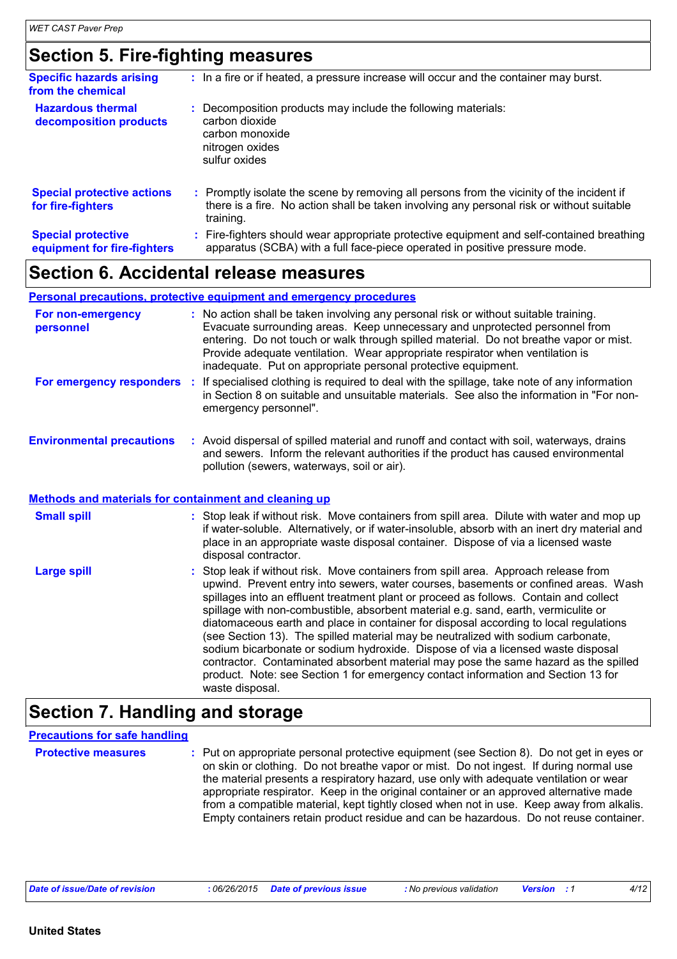## **Section 5. Fire-fighting measures**

| <b>Specific hazards arising</b><br>from the chemical     | : In a fire or if heated, a pressure increase will occur and the container may burst.                                                                                                             |
|----------------------------------------------------------|---------------------------------------------------------------------------------------------------------------------------------------------------------------------------------------------------|
| <b>Hazardous thermal</b><br>decomposition products       | Decomposition products may include the following materials:<br>carbon dioxide<br>carbon monoxide<br>nitrogen oxides<br>sulfur oxides                                                              |
| <b>Special protective actions</b><br>for fire-fighters   | Promptly isolate the scene by removing all persons from the vicinity of the incident if<br>there is a fire. No action shall be taken involving any personal risk or without suitable<br>training. |
| <b>Special protective</b><br>equipment for fire-fighters | Fire-fighters should wear appropriate protective equipment and self-contained breathing<br>apparatus (SCBA) with a full face-piece operated in positive pressure mode.                            |

### **Section 6. Accidental release measures**

|                                                              | <b>Personal precautions, protective equipment and emergency procedures</b>                                                                                                                                                                                                                                                                                                                                                                                                                                                                                                                                                                                                                                                                                                                                              |
|--------------------------------------------------------------|-------------------------------------------------------------------------------------------------------------------------------------------------------------------------------------------------------------------------------------------------------------------------------------------------------------------------------------------------------------------------------------------------------------------------------------------------------------------------------------------------------------------------------------------------------------------------------------------------------------------------------------------------------------------------------------------------------------------------------------------------------------------------------------------------------------------------|
| For non-emergency<br>personnel                               | No action shall be taken involving any personal risk or without suitable training.<br>÷.<br>Evacuate surrounding areas. Keep unnecessary and unprotected personnel from<br>entering. Do not touch or walk through spilled material. Do not breathe vapor or mist.<br>Provide adequate ventilation. Wear appropriate respirator when ventilation is<br>inadequate. Put on appropriate personal protective equipment.                                                                                                                                                                                                                                                                                                                                                                                                     |
| For emergency responders :                                   | If specialised clothing is required to deal with the spillage, take note of any information<br>in Section 8 on suitable and unsuitable materials. See also the information in "For non-<br>emergency personnel".                                                                                                                                                                                                                                                                                                                                                                                                                                                                                                                                                                                                        |
| <b>Environmental precautions</b>                             | : Avoid dispersal of spilled material and runoff and contact with soil, waterways, drains<br>and sewers. Inform the relevant authorities if the product has caused environmental<br>pollution (sewers, waterways, soil or air).                                                                                                                                                                                                                                                                                                                                                                                                                                                                                                                                                                                         |
| <b>Methods and materials for containment and cleaning up</b> |                                                                                                                                                                                                                                                                                                                                                                                                                                                                                                                                                                                                                                                                                                                                                                                                                         |
| <b>Small spill</b>                                           | : Stop leak if without risk. Move containers from spill area. Dilute with water and mop up<br>if water-soluble. Alternatively, or if water-insoluble, absorb with an inert dry material and<br>place in an appropriate waste disposal container. Dispose of via a licensed waste<br>disposal contractor.                                                                                                                                                                                                                                                                                                                                                                                                                                                                                                                |
| <b>Large spill</b>                                           | Stop leak if without risk. Move containers from spill area. Approach release from<br>upwind. Prevent entry into sewers, water courses, basements or confined areas. Wash<br>spillages into an effluent treatment plant or proceed as follows. Contain and collect<br>spillage with non-combustible, absorbent material e.g. sand, earth, vermiculite or<br>diatomaceous earth and place in container for disposal according to local regulations<br>(see Section 13). The spilled material may be neutralized with sodium carbonate,<br>sodium bicarbonate or sodium hydroxide. Dispose of via a licensed waste disposal<br>contractor. Contaminated absorbent material may pose the same hazard as the spilled<br>product. Note: see Section 1 for emergency contact information and Section 13 for<br>waste disposal. |

### **Section 7. Handling and storage**

#### **Protective measures** : Put on appropriate personal protective equipment (see Section 8). Do not get in eyes or on skin or clothing. Do not breathe vapor or mist. Do not ingest. If during normal use the material presents a respiratory hazard, use only with adequate ventilation or wear appropriate respirator. Keep in the original container or an approved alternative made from a compatible material, kept tightly closed when not in use. Keep away from alkalis. Empty containers retain product residue and can be hazardous. Do not reuse container. **Precautions for safe handling**

| Date of issue/Date of revision | 06/26/2015 | <b>Date of previous issue</b> | : No previous validation | <b>Version</b> | 4/12 |
|--------------------------------|------------|-------------------------------|--------------------------|----------------|------|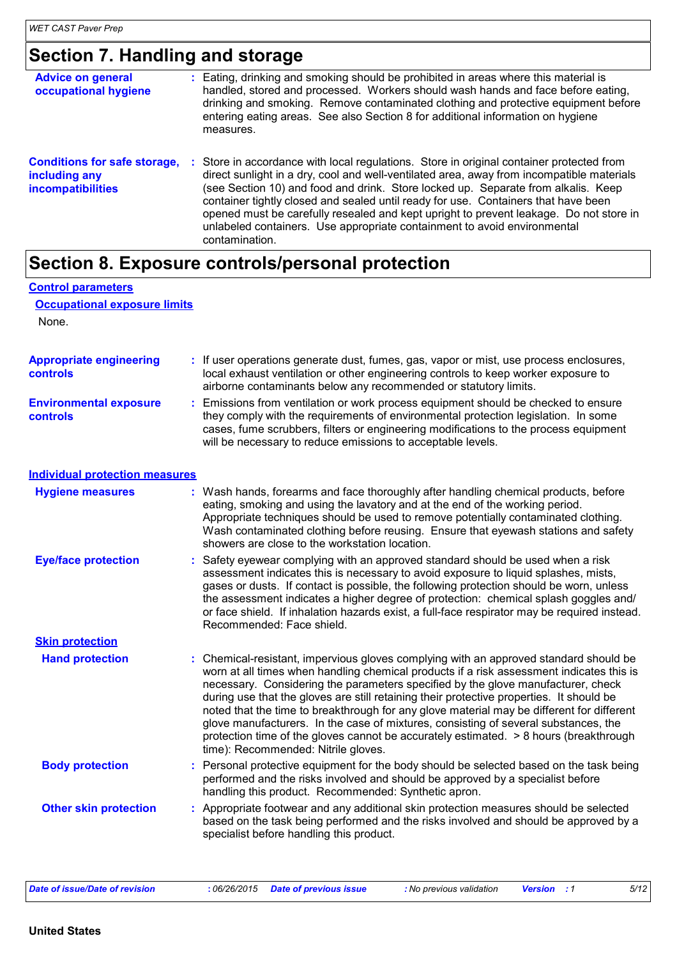# **Section 7. Handling and storage**

| <b>Advice on general</b><br>occupational hygiene                                 | : Eating, drinking and smoking should be prohibited in areas where this material is<br>handled, stored and processed. Workers should wash hands and face before eating,<br>drinking and smoking. Remove contaminated clothing and protective equipment before<br>entering eating areas. See also Section 8 for additional information on hygiene<br>measures.                                                                                                                                                                                                |
|----------------------------------------------------------------------------------|--------------------------------------------------------------------------------------------------------------------------------------------------------------------------------------------------------------------------------------------------------------------------------------------------------------------------------------------------------------------------------------------------------------------------------------------------------------------------------------------------------------------------------------------------------------|
| <b>Conditions for safe storage,</b><br>including any<br><b>incompatibilities</b> | Store in accordance with local regulations. Store in original container protected from<br>п.<br>direct sunlight in a dry, cool and well-ventilated area, away from incompatible materials<br>(see Section 10) and food and drink. Store locked up. Separate from alkalis. Keep<br>container tightly closed and sealed until ready for use. Containers that have been<br>opened must be carefully resealed and kept upright to prevent leakage. Do not store in<br>unlabeled containers. Use appropriate containment to avoid environmental<br>contamination. |

# **Section 8. Exposure controls/personal protection**

| <b>Control parameters</b>                    |    |                                                                                                                                                                                                                                                                                                                                                                                                                                                                                                                                                                                                                                                                                       |
|----------------------------------------------|----|---------------------------------------------------------------------------------------------------------------------------------------------------------------------------------------------------------------------------------------------------------------------------------------------------------------------------------------------------------------------------------------------------------------------------------------------------------------------------------------------------------------------------------------------------------------------------------------------------------------------------------------------------------------------------------------|
| <b>Occupational exposure limits</b><br>None. |    |                                                                                                                                                                                                                                                                                                                                                                                                                                                                                                                                                                                                                                                                                       |
| <b>Appropriate engineering</b><br>controls   |    | : If user operations generate dust, fumes, gas, vapor or mist, use process enclosures,<br>local exhaust ventilation or other engineering controls to keep worker exposure to<br>airborne contaminants below any recommended or statutory limits.                                                                                                                                                                                                                                                                                                                                                                                                                                      |
| <b>Environmental exposure</b><br>controls    | ÷. | Emissions from ventilation or work process equipment should be checked to ensure<br>they comply with the requirements of environmental protection legislation. In some<br>cases, fume scrubbers, filters or engineering modifications to the process equipment<br>will be necessary to reduce emissions to acceptable levels.                                                                                                                                                                                                                                                                                                                                                         |
| <b>Individual protection measures</b>        |    |                                                                                                                                                                                                                                                                                                                                                                                                                                                                                                                                                                                                                                                                                       |
| <b>Hygiene measures</b>                      |    | : Wash hands, forearms and face thoroughly after handling chemical products, before<br>eating, smoking and using the lavatory and at the end of the working period.<br>Appropriate techniques should be used to remove potentially contaminated clothing.<br>Wash contaminated clothing before reusing. Ensure that eyewash stations and safety<br>showers are close to the workstation location.                                                                                                                                                                                                                                                                                     |
| <b>Eye/face protection</b>                   | ÷. | Safety eyewear complying with an approved standard should be used when a risk<br>assessment indicates this is necessary to avoid exposure to liquid splashes, mists,<br>gases or dusts. If contact is possible, the following protection should be worn, unless<br>the assessment indicates a higher degree of protection: chemical splash goggles and/<br>or face shield. If inhalation hazards exist, a full-face respirator may be required instead.<br>Recommended: Face shield.                                                                                                                                                                                                  |
| <b>Skin protection</b>                       |    |                                                                                                                                                                                                                                                                                                                                                                                                                                                                                                                                                                                                                                                                                       |
| <b>Hand protection</b>                       |    | : Chemical-resistant, impervious gloves complying with an approved standard should be<br>worn at all times when handling chemical products if a risk assessment indicates this is<br>necessary. Considering the parameters specified by the glove manufacturer, check<br>during use that the gloves are still retaining their protective properties. It should be<br>noted that the time to breakthrough for any glove material may be different for different<br>glove manufacturers. In the case of mixtures, consisting of several substances, the<br>protection time of the gloves cannot be accurately estimated. > 8 hours (breakthrough<br>time): Recommended: Nitrile gloves. |
| <b>Body protection</b>                       |    | Personal protective equipment for the body should be selected based on the task being<br>performed and the risks involved and should be approved by a specialist before<br>handling this product. Recommended: Synthetic apron.                                                                                                                                                                                                                                                                                                                                                                                                                                                       |
| <b>Other skin protection</b>                 | ÷. | Appropriate footwear and any additional skin protection measures should be selected<br>based on the task being performed and the risks involved and should be approved by a<br>specialist before handling this product.                                                                                                                                                                                                                                                                                                                                                                                                                                                               |
|                                              |    |                                                                                                                                                                                                                                                                                                                                                                                                                                                                                                                                                                                                                                                                                       |

| Date of issue/Date of revision | : 06/26/2015 Date of previous issue | : No previous validation | <b>Version</b> : 1 | 5/12 |
|--------------------------------|-------------------------------------|--------------------------|--------------------|------|
|--------------------------------|-------------------------------------|--------------------------|--------------------|------|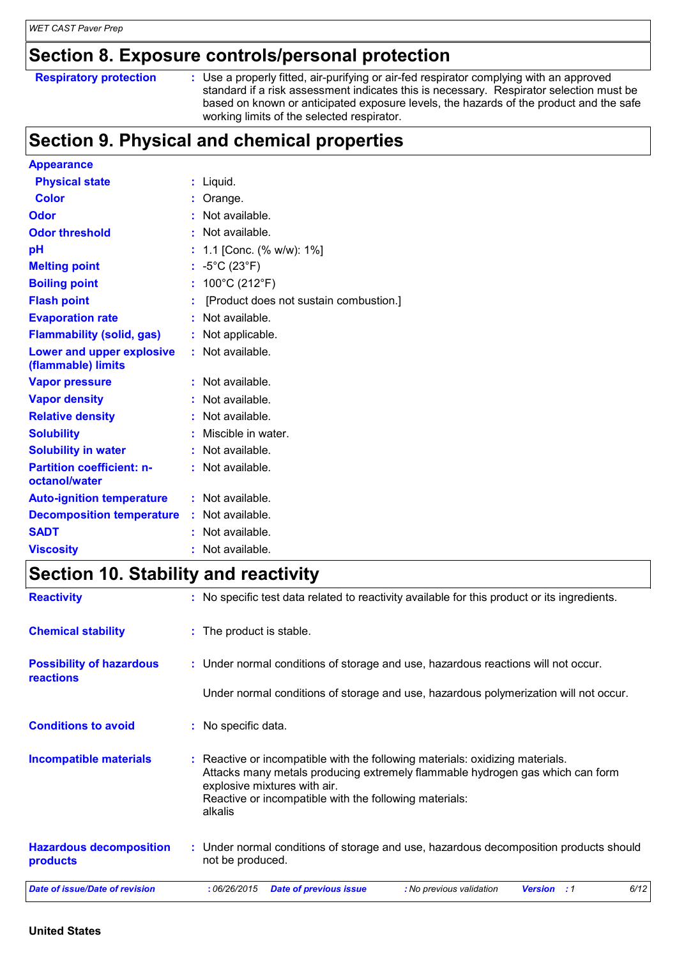### **Section 8. Exposure controls/personal protection**

| <b>Respiratory protection</b> |  |
|-------------------------------|--|
|                               |  |

**Respiratory protection** : Use a properly fitted, air-purifying or air-fed respirator complying with an approved standard if a risk assessment indicates this is necessary. Respirator selection must be based on known or anticipated exposure levels, the hazards of the product and the safe working limits of the selected respirator.

## **Section 9. Physical and chemical properties**

| <b>Appearance</b>                                 |   |                                        |
|---------------------------------------------------|---|----------------------------------------|
| <b>Physical state</b>                             |   | Liquid.                                |
| <b>Color</b>                                      |   | $:$ Orange.                            |
| <b>Odor</b>                                       |   | Not available.                         |
| <b>Odor threshold</b>                             |   | : Not available.                       |
| pH                                                |   | 1.1 [Conc. (% w/w): 1%]                |
| <b>Melting point</b>                              |   | : $-5^{\circ}$ C (23 $^{\circ}$ F)     |
| <b>Boiling point</b>                              | t | 100°C (212°F)                          |
| <b>Flash point</b>                                | ÷ | [Product does not sustain combustion.] |
| <b>Evaporation rate</b>                           |   | Not available.                         |
| <b>Flammability (solid, gas)</b>                  |   | Not applicable.                        |
| Lower and upper explosive<br>(flammable) limits   |   | : Not available.                       |
| <b>Vapor pressure</b>                             |   | Not available.                         |
| <b>Vapor density</b>                              |   | Not available.                         |
| <b>Relative density</b>                           |   | Not available.                         |
| <b>Solubility</b>                                 |   | Miscible in water.                     |
| <b>Solubility in water</b>                        |   | $:$ Not available.                     |
| <b>Partition coefficient: n-</b><br>octanol/water |   | Not available.                         |
| <b>Auto-ignition temperature</b>                  |   | $:$ Not available.                     |
| <b>Decomposition temperature</b>                  |   | : Not available.                       |
| <b>SADT</b>                                       |   | $:$ Not available.                     |
| <b>Viscosity</b>                                  |   | Not available.                         |

## **Section 10. Stability and reactivity**

| <b>Reactivity</b>                                   | : No specific test data related to reactivity available for this product or its ingredients.                                                                                                                                                                        |
|-----------------------------------------------------|---------------------------------------------------------------------------------------------------------------------------------------------------------------------------------------------------------------------------------------------------------------------|
| <b>Chemical stability</b>                           | : The product is stable.                                                                                                                                                                                                                                            |
| <b>Possibility of hazardous</b><br><b>reactions</b> | : Under normal conditions of storage and use, hazardous reactions will not occur.                                                                                                                                                                                   |
|                                                     | Under normal conditions of storage and use, hazardous polymerization will not occur.                                                                                                                                                                                |
| <b>Conditions to avoid</b>                          | : No specific data.                                                                                                                                                                                                                                                 |
| <b>Incompatible materials</b>                       | : Reactive or incompatible with the following materials: oxidizing materials.<br>Attacks many metals producing extremely flammable hydrogen gas which can form<br>explosive mixtures with air.<br>Reactive or incompatible with the following materials:<br>alkalis |
| <b>Hazardous decomposition</b><br>products          | : Under normal conditions of storage and use, hazardous decomposition products should<br>not be produced.                                                                                                                                                           |
| <b>Date of issue/Date of revision</b>               | 6/12<br>:06/26/2015<br><b>Date of previous issue</b><br>: No previous validation<br><b>Version</b> : 1                                                                                                                                                              |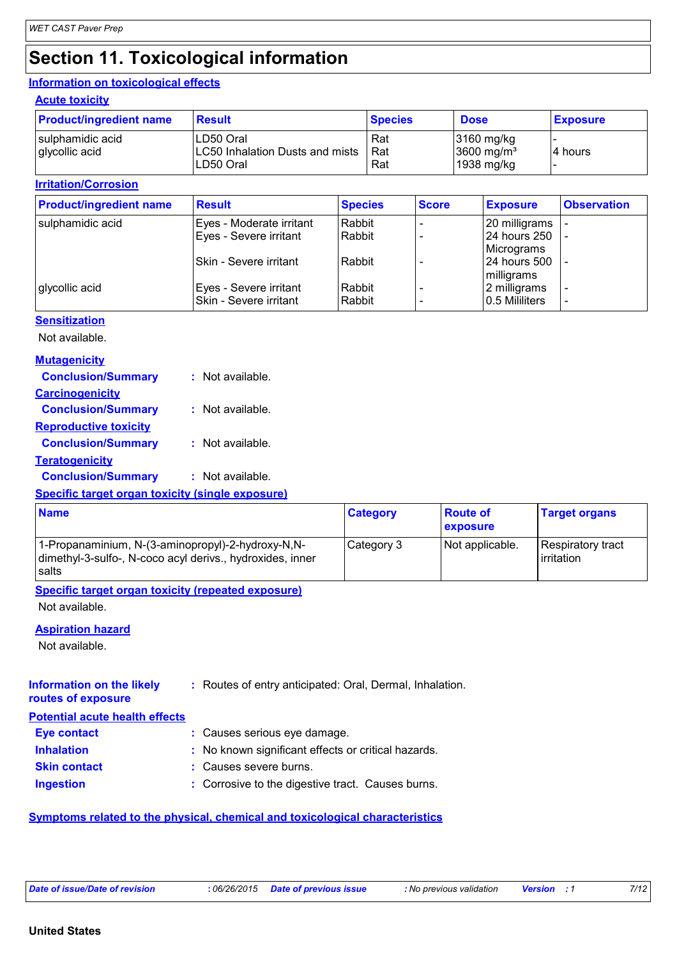# **Section 11. Toxicological information**

#### **Information on toxicological effects**

#### **Acute toxicity**

| <b>Product/ingredient name</b> | Result                          | <b>Species</b> | <b>Dose</b>   | <b>Exposure</b> |
|--------------------------------|---------------------------------|----------------|---------------|-----------------|
| sulphamidic acid               | LD50 Oral                       | Rat            | $3160$ mg/kg  |                 |
| glycollic acid                 | LC50 Inhalation Dusts and mists | Rat            | 3600 mg/ $m3$ | 14 hours        |
|                                | LD50 Oral                       | Rat            | 1938 mg/kg    |                 |

#### **Irritation/Corrosion**

**Sensitization**

| <b>Product/ingredient name</b> | <b>Result</b>            | <b>Species</b> | <b>Score</b> | <b>Exposure</b> | <b>Observation</b>       |
|--------------------------------|--------------------------|----------------|--------------|-----------------|--------------------------|
| sulphamidic acid               | Eyes - Moderate irritant | Rabbit         |              | 20 milligrams   |                          |
|                                | Eyes - Severe irritant   | Rabbit         |              | 24 hours 250    |                          |
|                                |                          |                |              | Micrograms      |                          |
|                                | ISkin - Severe irritant  | Rabbit         |              | 24 hours 500    |                          |
|                                |                          |                |              | milligrams      |                          |
| glycollic acid                 | Eyes - Severe irritant   | Rabbit         |              | 2 milligrams    | $\overline{\phantom{0}}$ |
|                                | Skin - Severe irritant   | Rabbit         |              | 0.5 Mililiters  | $\overline{\phantom{0}}$ |

| Not available.               |                  |
|------------------------------|------------------|
| <b>Mutagenicity</b>          |                  |
| <b>Conclusion/Summary</b>    | : Not available. |
| <b>Carcinogenicity</b>       |                  |
| <b>Conclusion/Summary</b>    | : Not available. |
| <b>Reproductive toxicity</b> |                  |
| <b>Conclusion/Summary</b>    | : Not available. |
| <u>Teratogenicity</u>        |                  |
| <b>Conclusion/Summary</b>    | : Not available. |

#### **Specific target organ toxicity (single exposure)**

| <b>Name</b>                                                                                                             | <b>Category</b> | <b>Route of</b><br>exposure | <b>Target organs</b>                    |
|-------------------------------------------------------------------------------------------------------------------------|-----------------|-----------------------------|-----------------------------------------|
| 1-Propanaminium, N-(3-aminopropyl)-2-hydroxy-N,N-<br>dimethyl-3-sulfo-, N-coco acyl derivs., hydroxides, inner<br>salts | Category 3      | Not applicable.             | Respiratory tract<br><b>lirritation</b> |

#### **Specific target organ toxicity (repeated exposure)**

Not available.

#### **Aspiration hazard**

Not available.

#### **Information on the likely routes of exposure :** Routes of entry anticipated: Oral, Dermal, Inhalation.

| <b>Potential acute health effects</b> |                                                     |
|---------------------------------------|-----------------------------------------------------|
| <b>Eye contact</b>                    | : Causes serious eye damage.                        |
| <b>Inhalation</b>                     | : No known significant effects or critical hazards. |
| <b>Skin contact</b>                   | : Causes severe burns.                              |
| <b>Ingestion</b>                      | : Corrosive to the digestive tract. Causes burns.   |

#### **Symptoms related to the physical, chemical and toxicological characteristics**

|  |  |  | Date of issue/Date of revision |
|--|--|--|--------------------------------|
|--|--|--|--------------------------------|

*Date of issue/Date of revision* **:** *06/26/2015 Date of previous issue : No previous validation Version : 1 7/12*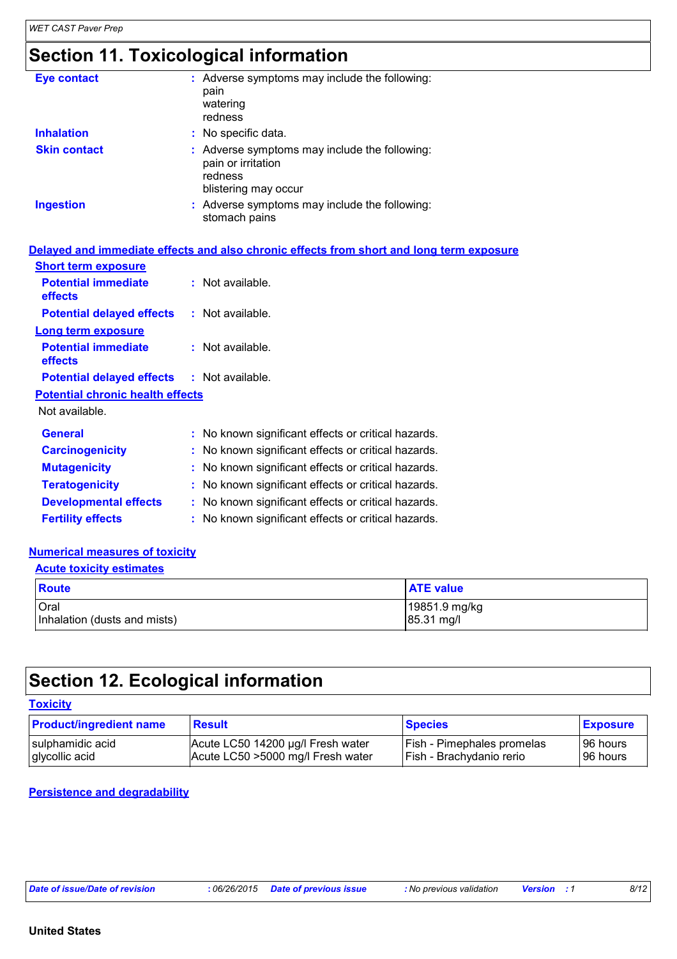# **Section 11. Toxicological information**

| <b>Eye contact</b>  | : Adverse symptoms may include the following:<br>pain<br>watering<br>redness                           |
|---------------------|--------------------------------------------------------------------------------------------------------|
| <b>Inhalation</b>   | : No specific data.                                                                                    |
| <b>Skin contact</b> | : Adverse symptoms may include the following:<br>pain or irritation<br>redness<br>blistering may occur |
| <b>Ingestion</b>    | : Adverse symptoms may include the following:<br>stomach pains                                         |

#### **Delayed and immediate effects and also chronic effects from short and long term exposure**

| <b>Short term exposure</b>                        |                                                     |
|---------------------------------------------------|-----------------------------------------------------|
| <b>Potential immediate</b><br>effects             | : Not available.                                    |
| <b>Potential delayed effects</b>                  | $:$ Not available.                                  |
| <b>Long term exposure</b>                         |                                                     |
| <b>Potential immediate</b><br>effects             | $:$ Not available.                                  |
| <b>Potential delayed effects : Not available.</b> |                                                     |
| <b>Potential chronic health effects</b>           |                                                     |
| Not available.                                    |                                                     |
| <b>General</b>                                    | : No known significant effects or critical hazards. |
| <b>Carcinogenicity</b>                            | : No known significant effects or critical hazards. |
| <b>Mutagenicity</b>                               | : No known significant effects or critical hazards. |
| <b>Teratogenicity</b>                             | : No known significant effects or critical hazards. |
| <b>Developmental effects</b>                      | No known significant effects or critical hazards.   |
| <b>Fertility effects</b>                          | : No known significant effects or critical hazards. |

#### **Numerical measures of toxicity**

| <b>Acute toxicity estimates</b>      |                             |  |
|--------------------------------------|-----------------------------|--|
| Route                                | <b>ATE value</b>            |  |
| Oral<br>Inhalation (dusts and mists) | 19851.9 mg/kg<br>85.31 mg/l |  |

# **Section 12. Ecological information**

| D |  |  |
|---|--|--|
|   |  |  |

| <b>Product/ingredient name</b> | <b>Result</b>                     | <b>Species</b>                    | <b>Exposure</b> |
|--------------------------------|-----------------------------------|-----------------------------------|-----------------|
| I sulphamidic acid             | Acute LC50 14200 µg/l Fresh water | <b>Fish - Pimephales promelas</b> | ⊺96 hours       |
| glycollic acid                 | Acute LC50 >5000 mg/l Fresh water | Fish - Brachydanio rerio          | 96 hours        |

#### **Persistence and degradability**

*Date of issue/Date of revision* **:** *06/26/2015 Date of previous issue : No previous validation Version : 1 8/12*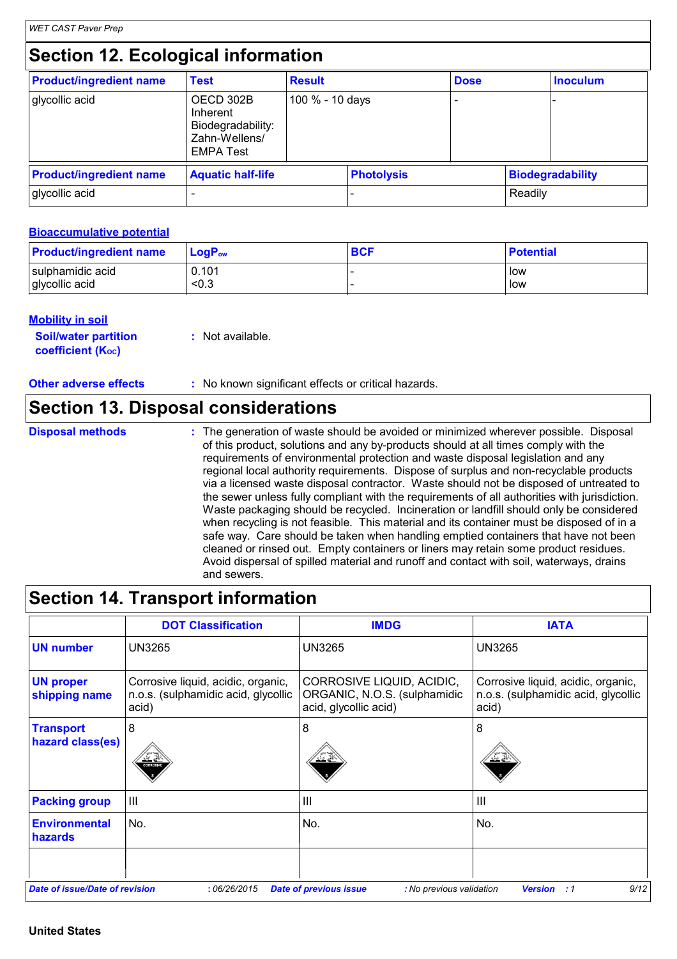# **Section 12. Ecological information**

| <b>Product/ingredient name</b> | <b>Test</b>                                                                     | <b>Result</b>   |                   | <b>Dose</b> |         | <b>Inoculum</b>         |
|--------------------------------|---------------------------------------------------------------------------------|-----------------|-------------------|-------------|---------|-------------------------|
| glycollic acid                 | OECD 302B<br>Inherent<br>Biodegradability:<br>Zahn-Wellens/<br><b>EMPA Test</b> | 100 % - 10 days |                   |             |         |                         |
| <b>Product/ingredient name</b> | <b>Aquatic half-life</b>                                                        |                 | <b>Photolysis</b> |             |         | <b>Biodegradability</b> |
| glycollic acid                 |                                                                                 |                 |                   |             | Readily |                         |

#### **Bioaccumulative potential**

| <b>Product/ingredient name</b> | $\mathsf{LogP}_\mathsf{ow}$ | <b>BCF</b> | <b>Potential</b> |
|--------------------------------|-----------------------------|------------|------------------|
| sulphamidic acid               | 0.101                       |            | low              |
| glycollic acid                 | < 0.3                       |            | low              |

#### **Mobility in soil**

| <b>Soil/water partition</b> | : Not available. |
|-----------------------------|------------------|
| <b>coefficient (Koc)</b>    |                  |

**Other adverse effects** : No known significant effects or critical hazards.

### **Section 13. Disposal considerations**

**Disposal methods :**

The generation of waste should be avoided or minimized wherever possible. Disposal of this product, solutions and any by-products should at all times comply with the requirements of environmental protection and waste disposal legislation and any regional local authority requirements. Dispose of surplus and non-recyclable products via a licensed waste disposal contractor. Waste should not be disposed of untreated to the sewer unless fully compliant with the requirements of all authorities with jurisdiction. Waste packaging should be recycled. Incineration or landfill should only be considered when recycling is not feasible. This material and its container must be disposed of in a safe way. Care should be taken when handling emptied containers that have not been cleaned or rinsed out. Empty containers or liners may retain some product residues. Avoid dispersal of spilled material and runoff and contact with soil, waterways, drains and sewers.

### **Section 14. Transport information**

|                                       | <b>DOT Classification</b>                                                          | <b>IMDG</b>                                                                        | <b>IATA</b>                                                                        |
|---------------------------------------|------------------------------------------------------------------------------------|------------------------------------------------------------------------------------|------------------------------------------------------------------------------------|
| <b>UN number</b>                      | <b>UN3265</b>                                                                      | <b>UN3265</b>                                                                      | <b>UN3265</b>                                                                      |
| <b>UN proper</b><br>shipping name     | Corrosive liquid, acidic, organic,<br>n.o.s. (sulphamidic acid, glycollic<br>acid) | CORROSIVE LIQUID, ACIDIC,<br>ORGANIC, N.O.S. (sulphamidic<br>acid, glycollic acid) | Corrosive liquid, acidic, organic,<br>n.o.s. (sulphamidic acid, glycollic<br>acid) |
| <b>Transport</b><br>hazard class(es)  | 8<br><b>CORROSVE</b>                                                               | 8                                                                                  | 8                                                                                  |
| <b>Packing group</b>                  | III                                                                                | $\mathbf{III}$                                                                     | $\mathbf{III}$                                                                     |
| <b>Environmental</b><br>hazards       | No.                                                                                | No.                                                                                | No.                                                                                |
|                                       |                                                                                    |                                                                                    |                                                                                    |
| <b>Date of issue/Date of revision</b> | :06/26/2015                                                                        | <b>Date of previous issue</b><br>: No previous validation                          | 9/12<br><b>Version</b><br>: 1                                                      |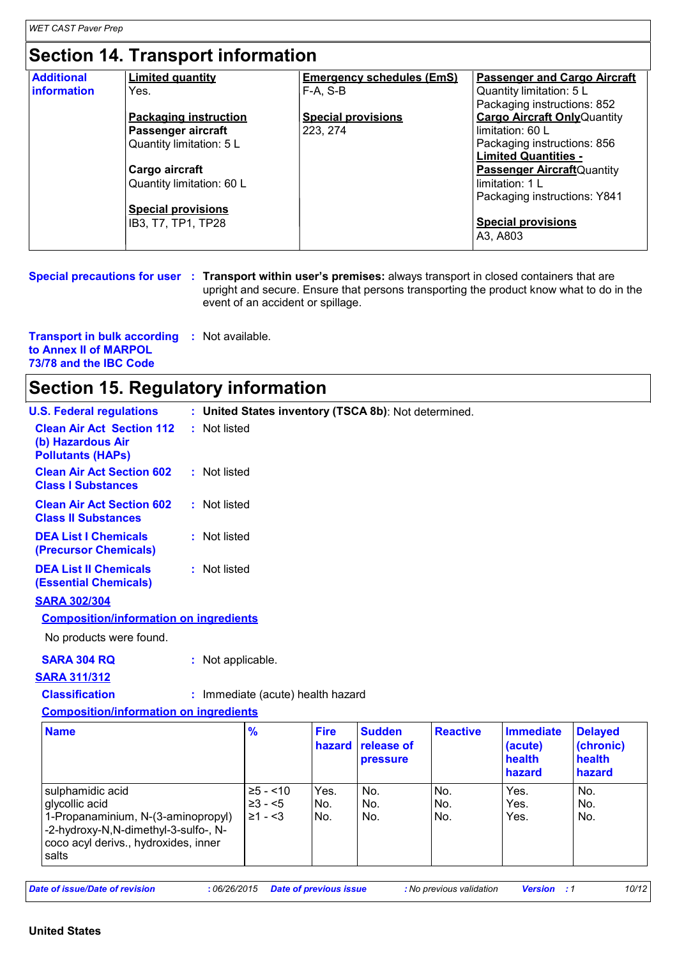# **Section 14. Transport information**

| <b>Additional</b>  | <b>Limited quantity</b>      | <b>Emergency schedules (EmS)</b> | <b>Passenger and Cargo Aircraft</b> |
|--------------------|------------------------------|----------------------------------|-------------------------------------|
| <b>information</b> | Yes.                         | $F-A. S-B$                       | Quantity limitation: 5 L            |
|                    |                              |                                  | Packaging instructions: 852         |
|                    | <b>Packaging instruction</b> | <b>Special provisions</b>        | <b>Cargo Aircraft Only Quantity</b> |
|                    | <b>Passenger aircraft</b>    | 223, 274                         | limitation: 60 L                    |
|                    | Quantity limitation: 5 L     |                                  | Packaging instructions: 856         |
|                    |                              |                                  | <b>Limited Quantities -</b>         |
|                    | Cargo aircraft               |                                  | <b>Passenger Aircraft</b> Quantity  |
|                    | Quantity limitation: 60 L    |                                  | limitation: 1 L                     |
|                    |                              |                                  | Packaging instructions: Y841        |
|                    | <b>Special provisions</b>    |                                  |                                     |
|                    | IB3, T7, TP1, TP28           |                                  | <b>Special provisions</b>           |
|                    |                              |                                  | A3, A803                            |
|                    |                              |                                  |                                     |

**Special precautions for user** : Transport within user's premises: always transport in closed containers that are upright and secure. Ensure that persons transporting the product know what to do in the event of an accident or spillage.

| <b>Transport in bulk according : Not available.</b> |  |  |
|-----------------------------------------------------|--|--|
| to Annex II of MARPOL                               |  |  |
| 73/78 and the IBC Code                              |  |  |

### **Section 15. Regulatory information**

| <b>U.S. Federal regulations</b>                                                                                                                                   |                   |                                           |                       | : United States inventory (TSCA 8b): Not determined. |                   |                                                 |                                                 |
|-------------------------------------------------------------------------------------------------------------------------------------------------------------------|-------------------|-------------------------------------------|-----------------------|------------------------------------------------------|-------------------|-------------------------------------------------|-------------------------------------------------|
| <b>Clean Air Act Section 112</b><br>(b) Hazardous Air<br><b>Pollutants (HAPs)</b>                                                                                 | : Not listed      |                                           |                       |                                                      |                   |                                                 |                                                 |
| <b>Clean Air Act Section 602</b><br><b>Class I Substances</b>                                                                                                     | : Not listed      |                                           |                       |                                                      |                   |                                                 |                                                 |
| <b>Clean Air Act Section 602</b><br><b>Class II Substances</b>                                                                                                    | : Not listed      |                                           |                       |                                                      |                   |                                                 |                                                 |
| <b>DEA List I Chemicals</b><br>(Precursor Chemicals)                                                                                                              | : Not listed      |                                           |                       |                                                      |                   |                                                 |                                                 |
| <b>DEA List II Chemicals</b><br><b>(Essential Chemicals)</b>                                                                                                      | : Not listed      |                                           |                       |                                                      |                   |                                                 |                                                 |
| <b>SARA 302/304</b>                                                                                                                                               |                   |                                           |                       |                                                      |                   |                                                 |                                                 |
| <b>Composition/information on ingredients</b>                                                                                                                     |                   |                                           |                       |                                                      |                   |                                                 |                                                 |
| No products were found.                                                                                                                                           |                   |                                           |                       |                                                      |                   |                                                 |                                                 |
| <b>SARA 304 RQ</b>                                                                                                                                                | : Not applicable. |                                           |                       |                                                      |                   |                                                 |                                                 |
| <b>SARA 311/312</b>                                                                                                                                               |                   |                                           |                       |                                                      |                   |                                                 |                                                 |
| <b>Classification</b>                                                                                                                                             |                   | : Immediate (acute) health hazard         |                       |                                                      |                   |                                                 |                                                 |
| <b>Composition/information on ingredients</b>                                                                                                                     |                   |                                           |                       |                                                      |                   |                                                 |                                                 |
| <b>Name</b>                                                                                                                                                       |                   | $\frac{9}{6}$                             | <b>Fire</b><br>hazard | <b>Sudden</b><br>release of<br><b>pressure</b>       | <b>Reactive</b>   | <b>Immediate</b><br>(acute)<br>health<br>hazard | <b>Delayed</b><br>(chronic)<br>health<br>hazard |
| sulphamidic acid<br>glycollic acid<br>1-Propanaminium, N-(3-aminopropyl)<br>-2-hydroxy-N,N-dimethyl-3-sulfo-, N-<br>coco acyl derivs., hydroxides, inner<br>salts |                   | $\ge 5 - 10$<br>$\geq 3 - 5$<br>$≥1 - <3$ | Yes.<br>No.<br>No.    | No.<br>No.<br>No.                                    | No.<br>No.<br>No. | Yes.<br>Yes.<br>Yes.                            | No.<br>No.<br>No.                               |

*Date of issue/Date of revision* **:** *06/26/2015 Date of previous issue : No previous validation Version : 1 10/12*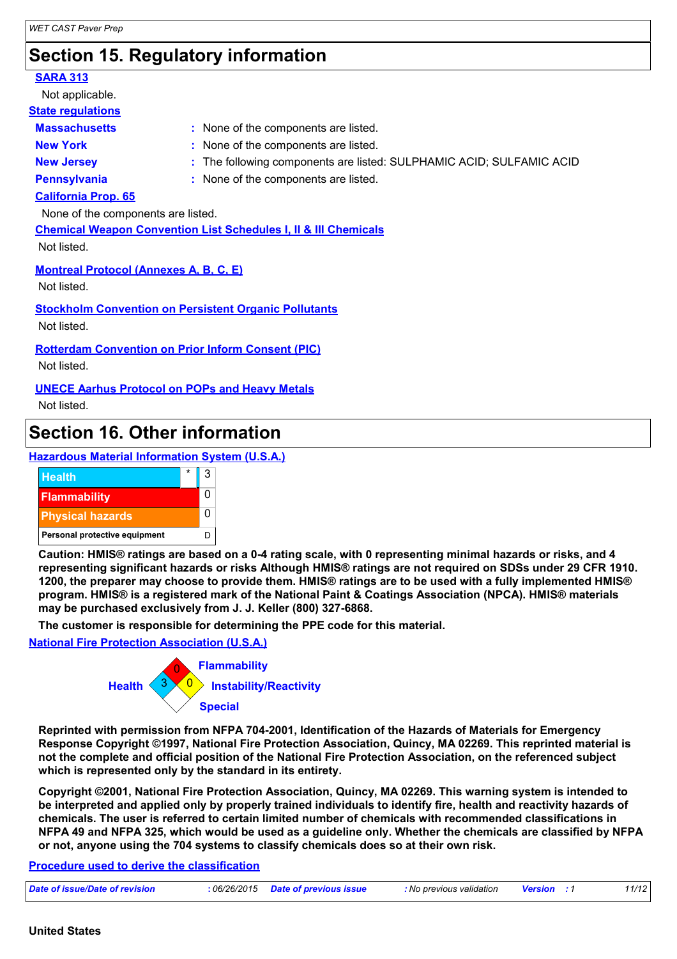# **Section 15. Regulatory information**

| <b>SARA 313</b>                                           |                                                                            |
|-----------------------------------------------------------|----------------------------------------------------------------------------|
| Not applicable.                                           |                                                                            |
| <b>State regulations</b>                                  |                                                                            |
| <b>Massachusetts</b>                                      | : None of the components are listed.                                       |
| <b>New York</b>                                           | : None of the components are listed.                                       |
| <b>New Jersey</b>                                         | : The following components are listed: SULPHAMIC ACID; SULFAMIC ACID       |
| <b>Pennsylvania</b>                                       | : None of the components are listed.                                       |
| <b>California Prop. 65</b>                                |                                                                            |
| None of the components are listed.                        |                                                                            |
|                                                           | <b>Chemical Weapon Convention List Schedules I, II &amp; III Chemicals</b> |
| Not listed.                                               |                                                                            |
| <b>Montreal Protocol (Annexes A, B, C, E)</b>             |                                                                            |
| Not listed.                                               |                                                                            |
|                                                           | <b>Stockholm Convention on Persistent Organic Pollutants</b>               |
| Not listed.                                               |                                                                            |
| <b>Rotterdam Convention on Prior Inform Consent (PIC)</b> |                                                                            |
| Not listed.                                               |                                                                            |
|                                                           |                                                                            |

**UNECE Aarhus Protocol on POPs and Heavy Metals** Not listed.

### **Section 16. Other information**





**Caution: HMIS® ratings are based on a 0-4 rating scale, with 0 representing minimal hazards or risks, and 4 representing significant hazards or risks Although HMIS® ratings are not required on SDSs under 29 CFR 1910. 1200, the preparer may choose to provide them. HMIS® ratings are to be used with a fully implemented HMIS® program. HMIS® is a registered mark of the National Paint & Coatings Association (NPCA). HMIS® materials may be purchased exclusively from J. J. Keller (800) 327-6868.**

**The customer is responsible for determining the PPE code for this material.**

**National Fire Protection Association (U.S.A.)**



**Reprinted with permission from NFPA 704-2001, Identification of the Hazards of Materials for Emergency Response Copyright ©1997, National Fire Protection Association, Quincy, MA 02269. This reprinted material is not the complete and official position of the National Fire Protection Association, on the referenced subject which is represented only by the standard in its entirety.**

**Copyright ©2001, National Fire Protection Association, Quincy, MA 02269. This warning system is intended to be interpreted and applied only by properly trained individuals to identify fire, health and reactivity hazards of chemicals. The user is referred to certain limited number of chemicals with recommended classifications in NFPA 49 and NFPA 325, which would be used as a guideline only. Whether the chemicals are classified by NFPA or not, anyone using the 704 systems to classify chemicals does so at their own risk.**

**Procedure used to derive the classification**

|--|